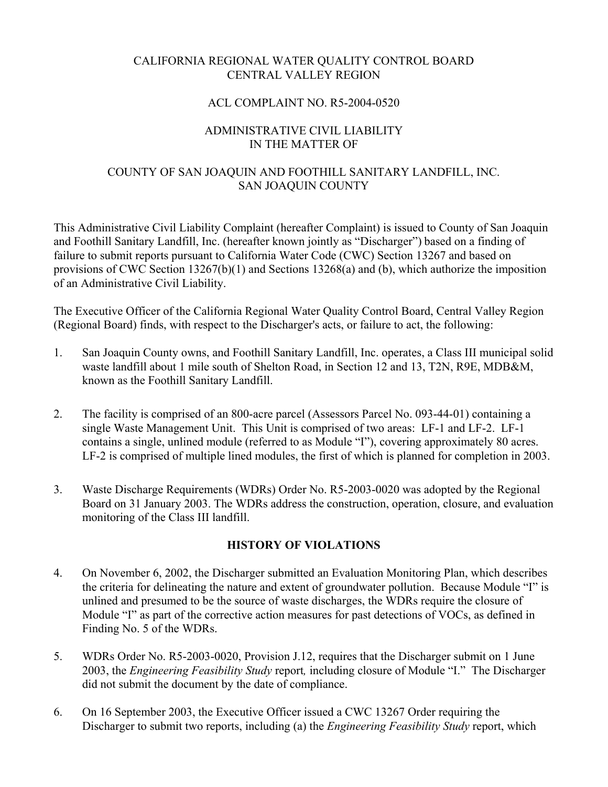# CALIFORNIA REGIONAL WATER QUALITY CONTROL BOARD CENTRAL VALLEY REGION

### ACL COMPLAINT NO. R5-2004-0520

### ADMINISTRATIVE CIVIL LIABILITY IN THE MATTER OF

# COUNTY OF SAN JOAQUIN AND FOOTHILL SANITARY LANDFILL, INC. SAN JOAQUIN COUNTY

This Administrative Civil Liability Complaint (hereafter Complaint) is issued to County of San Joaquin and Foothill Sanitary Landfill, Inc. (hereafter known jointly as "Discharger") based on a finding of failure to submit reports pursuant to California Water Code (CWC) Section 13267 and based on provisions of CWC Section 13267(b)(1) and Sections 13268(a) and (b), which authorize the imposition of an Administrative Civil Liability.

The Executive Officer of the California Regional Water Quality Control Board, Central Valley Region (Regional Board) finds, with respect to the Discharger's acts, or failure to act, the following:

- 1. San Joaquin County owns, and Foothill Sanitary Landfill, Inc. operates, a Class III municipal solid waste landfill about 1 mile south of Shelton Road, in Section 12 and 13, T2N, R9E, MDB&M, known as the Foothill Sanitary Landfill.
- 2. The facility is comprised of an 800-acre parcel (Assessors Parcel No. 093-44-01) containing a single Waste Management Unit. This Unit is comprised of two areas: LF-1 and LF-2. LF-1 contains a single, unlined module (referred to as Module "I"), covering approximately 80 acres. LF-2 is comprised of multiple lined modules, the first of which is planned for completion in 2003.
- 3. Waste Discharge Requirements (WDRs) Order No. R5-2003-0020 was adopted by the Regional Board on 31 January 2003. The WDRs address the construction, operation, closure, and evaluation monitoring of the Class III landfill.

### **HISTORY OF VIOLATIONS**

- 4. On November 6, 2002, the Discharger submitted an Evaluation Monitoring Plan, which describes the criteria for delineating the nature and extent of groundwater pollution. Because Module "I" is unlined and presumed to be the source of waste discharges, the WDRs require the closure of Module "I" as part of the corrective action measures for past detections of VOCs, as defined in Finding No. 5 of the WDRs.
- 5. WDRs Order No. R5-2003-0020, Provision J.12, requires that the Discharger submit on 1 June 2003, the *Engineering Feasibility Study* report*,* including closure of Module "I." The Discharger did not submit the document by the date of compliance.
- 6. On 16 September 2003, the Executive Officer issued a CWC 13267 Order requiring the Discharger to submit two reports, including (a) the *Engineering Feasibility Study* report, which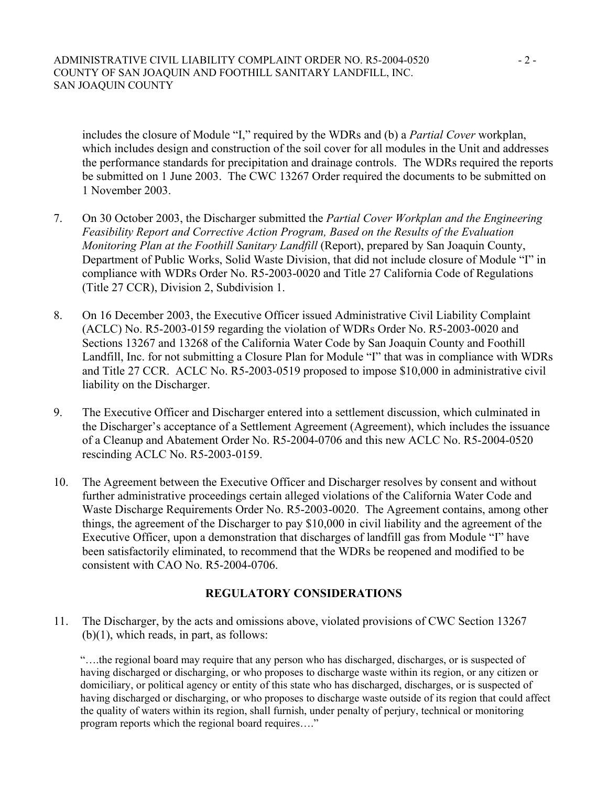#### ADMINISTRATIVE CIVIL LIABILITY COMPLAINT ORDER NO. R5-2004-0520 - 2 -COUNTY OF SAN JOAQUIN AND FOOTHILL SANITARY LANDFILL, INC. SAN JOAQUIN COUNTY

includes the closure of Module "I," required by the WDRs and (b) a *Partial Cover* workplan, which includes design and construction of the soil cover for all modules in the Unit and addresses the performance standards for precipitation and drainage controls. The WDRs required the reports be submitted on 1 June 2003. The CWC 13267 Order required the documents to be submitted on 1 November 2003.

- 7. On 30 October 2003, the Discharger submitted the *Partial Cover Workplan and the Engineering Feasibility Report and Corrective Action Program, Based on the Results of the Evaluation Monitoring Plan at the Foothill Sanitary Landfill* (Report), prepared by San Joaquin County, Department of Public Works, Solid Waste Division, that did not include closure of Module "I" in compliance with WDRs Order No. R5-2003-0020 and Title 27 California Code of Regulations (Title 27 CCR), Division 2, Subdivision 1.
- 8. On 16 December 2003, the Executive Officer issued Administrative Civil Liability Complaint (ACLC) No. R5-2003-0159 regarding the violation of WDRs Order No. R5-2003-0020 and Sections 13267 and 13268 of the California Water Code by San Joaquin County and Foothill Landfill, Inc. for not submitting a Closure Plan for Module "I" that was in compliance with WDRs and Title 27 CCR. ACLC No. R5-2003-0519 proposed to impose \$10,000 in administrative civil liability on the Discharger.
- 9. The Executive Officer and Discharger entered into a settlement discussion, which culminated in the Discharger's acceptance of a Settlement Agreement (Agreement), which includes the issuance of a Cleanup and Abatement Order No. R5-2004-0706 and this new ACLC No. R5-2004-0520 rescinding ACLC No. R5-2003-0159.
- 10. The Agreement between the Executive Officer and Discharger resolves by consent and without further administrative proceedings certain alleged violations of the California Water Code and Waste Discharge Requirements Order No. R5-2003-0020. The Agreement contains, among other things, the agreement of the Discharger to pay \$10,000 in civil liability and the agreement of the Executive Officer, upon a demonstration that discharges of landfill gas from Module "I" have been satisfactorily eliminated, to recommend that the WDRs be reopened and modified to be consistent with CAO No. R5-2004-0706.

### **REGULATORY CONSIDERATIONS**

11. The Discharger, by the acts and omissions above, violated provisions of CWC Section 13267  $(b)(1)$ , which reads, in part, as follows:

"….the regional board may require that any person who has discharged, discharges, or is suspected of having discharged or discharging, or who proposes to discharge waste within its region, or any citizen or domiciliary, or political agency or entity of this state who has discharged, discharges, or is suspected of having discharged or discharging, or who proposes to discharge waste outside of its region that could affect the quality of waters within its region, shall furnish, under penalty of perjury, technical or monitoring program reports which the regional board requires…."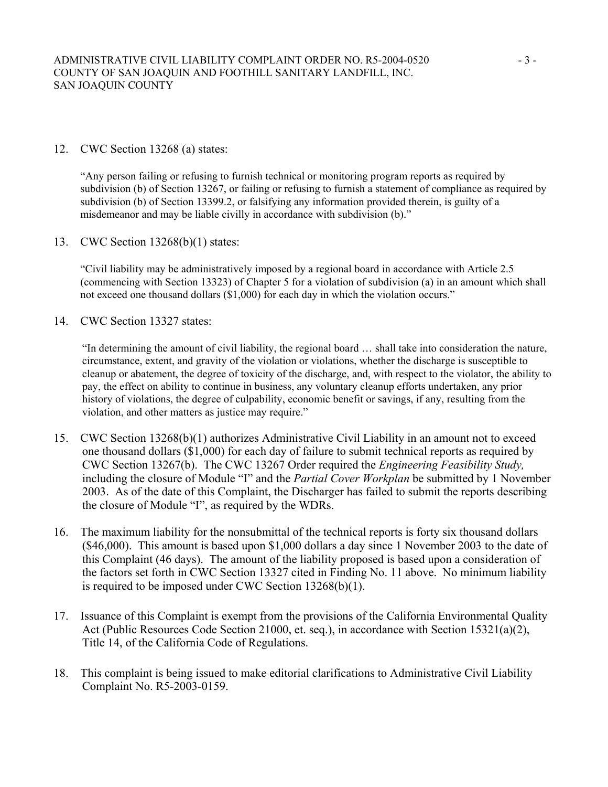### 12. CWC Section 13268 (a) states:

"Any person failing or refusing to furnish technical or monitoring program reports as required by subdivision (b) of Section 13267, or failing or refusing to furnish a statement of compliance as required by subdivision (b) of Section 13399.2, or falsifying any information provided therein, is guilty of a misdemeanor and may be liable civilly in accordance with subdivision (b)."

13. CWC Section 13268(b)(1) states:

"Civil liability may be administratively imposed by a regional board in accordance with Article 2.5 (commencing with Section 13323) of Chapter 5 for a violation of subdivision (a) in an amount which shall not exceed one thousand dollars (\$1,000) for each day in which the violation occurs."

14. CWC Section 13327 states:

"In determining the amount of civil liability, the regional board … shall take into consideration the nature, circumstance, extent, and gravity of the violation or violations, whether the discharge is susceptible to cleanup or abatement, the degree of toxicity of the discharge, and, with respect to the violator, the ability to pay, the effect on ability to continue in business, any voluntary cleanup efforts undertaken, any prior history of violations, the degree of culpability, economic benefit or savings, if any, resulting from the violation, and other matters as justice may require."

- 15. CWC Section 13268(b)(1) authorizes Administrative Civil Liability in an amount not to exceed one thousand dollars (\$1,000) for each day of failure to submit technical reports as required by CWC Section 13267(b). The CWC 13267 Order required the *Engineering Feasibility Study,*  including the closure of Module "I" and the *Partial Cover Workplan* be submitted by 1 November 2003. As of the date of this Complaint, the Discharger has failed to submit the reports describing the closure of Module "I", as required by the WDRs.
- 16. The maximum liability for the nonsubmittal of the technical reports is forty six thousand dollars (\$46,000). This amount is based upon \$1,000 dollars a day since 1 November 2003 to the date of this Complaint (46 days).The amount of the liability proposed is based upon a consideration of the factors set forth in CWC Section 13327 cited in Finding No. 11 above. No minimum liability is required to be imposed under CWC Section 13268(b)(1).
- 17. Issuance of this Complaint is exempt from the provisions of the California Environmental Quality Act (Public Resources Code Section 21000, et. seq.), in accordance with Section 15321(a)(2), Title 14, of the California Code of Regulations.
- 18. This complaint is being issued to make editorial clarifications to Administrative Civil Liability Complaint No. R5-2003-0159.